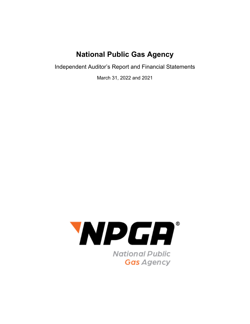# **National Public Gas Agency**

Independent Auditor's Report and Financial Statements

March 31, 2022 and 2021

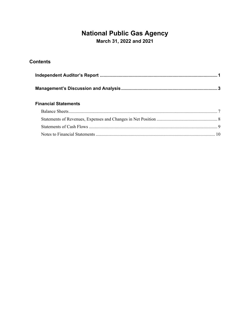# **National Public Gas Agency** March 31, 2022 and 2021

# **Contents**

# **Financial Statements**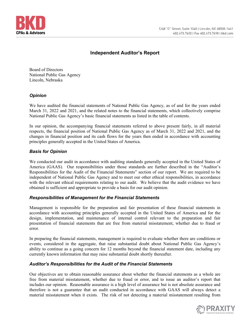

# **Independent Auditor's Report**

Board of Directors National Public Gas Agency Lincoln, Nebraska

# *Opinion*

We have audited the financial statements of National Public Gas Agency, as of and for the years ended March 31, 2022 and 2021, and the related notes to the financial statements, which collectively comprise National Public Gas Agency's basic financial statements as listed in the table of contents.

In our opinion, the accompanying financial statements referred to above present fairly, in all material respects, the financial position of National Public Gas Agency as of March 31, 2022 and 2021, and the changes in financial position and its cash flows for the years then ended in accordance with accounting principles generally accepted in the United States of America.

### *Basis for Opinion*

We conducted our audit in accordance with auditing standards generally accepted in the United States of America (GAAS). Our responsibilities under those standards are further described in the "Auditor's Responsibilities for the Audit of the Financial Statements" section of our report. We are required to be independent of National Public Gas Agency and to meet our other ethical responsibilities, in accordance with the relevant ethical requirements relating to our audit. We believe that the audit evidence we have obtained is sufficient and appropriate to provide a basis for our audit opinion.

### *Responsibilities of Management for the Financial Statements*

Management is responsible for the preparation and fair presentation of these financial statements in accordance with accounting principles generally accepted in the United States of America and for the design, implementation, and maintenance of internal control relevant to the preparation and fair presentation of financial statements that are free from material misstatement, whether due to fraud or error.

In preparing the financial statements, management is required to evaluate whether there are conditions or events, considered in the aggregate, that raise substantial doubt about National Public Gas Agency's ability to continue as a going concern for 12 months beyond the financial statement date, including any currently known information that may raise substantial doubt shortly thereafter.

### *Auditor's Responsibilities for the Audit of the Financial Statements*

Our objectives are to obtain reasonable assurance about whether the financial statements as a whole are free from material misstatement, whether due to fraud or error, and to issue an auditor's report that includes our opinion. Reasonable assurance is a high level of assurance but is not absolute assurance and therefore is not a guarantee that an audit conducted in accordance with GAAS will always detect a material misstatement when it exists. The risk of not detecting a material misstatement resulting from

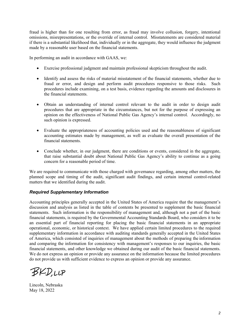fraud is higher than for one resulting from error, as fraud may involve collusion, forgery, intentional omissions, misrepresentations, or the override of internal control. Misstatements are considered material if there is a substantial likelihood that, individually or in the aggregate, they would influence the judgment made by a reasonable user based on the financial statements.

In performing an audit in accordance with GAAS, we:

- Exercise professional judgment and maintain professional skepticism throughout the audit.
- Identify and assess the risks of material misstatement of the financial statements, whether due to fraud or error, and design and perform audit procedures responsive to those risks. Such procedures include examining, on a test basis, evidence regarding the amounts and disclosures in the financial statements.
- Obtain an understanding of internal control relevant to the audit in order to design audit procedures that are appropriate in the circumstances, but not for the purpose of expressing an opinion on the effectiveness of National Public Gas Agency's internal control. Accordingly, no such opinion is expressed.
- Evaluate the appropriateness of accounting policies used and the reasonableness of significant accounting estimates made by management, as well as evaluate the overall presentation of the financial statements.
- Conclude whether, in our judgment, there are conditions or events, considered in the aggregate, that raise substantial doubt about National Public Gas Agency's ability to continue as a going concern for a reasonable period of time.

We are required to communicate with those charged with governance regarding, among other matters, the planned scope and timing of the audit, significant audit findings, and certain internal control-related matters that we identified during the audit.

# *Required Supplementary Information*

Accounting principles generally accepted in the United States of America require that the management's discussion and analysis as listed in the table of contents be presented to supplement the basic financial statements. Such information is the responsibility of management and, although not a part of the basic financial statements, is required by the Governmental Accounting Standards Board, who considers it to be an essential part of financial reporting for placing the basic financial statements in an appropriate operational, economic, or historical context. We have applied certain limited procedures to the required supplementary information in accordance with auditing standards generally accepted in the United States of America, which consisted of inquiries of management about the methods of preparing the information and comparing the information for consistency with management's responses to our inquiries, the basic financial statements, and other knowledge we obtained during our audit of the basic financial statements. We do not express an opinion or provide any assurance on the information because the limited procedures do not provide us with sufficient evidence to express an opinion or provide any assurance.

BKD,LLP

Lincoln, Nebraska May 18, 2022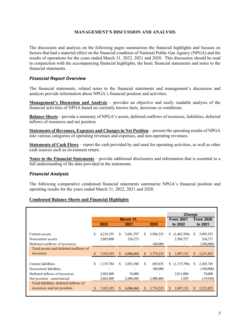#### **MANAGEMENT'S DISCUSSION AND ANALYSIS**

The discussion and analysis on the following pages summarizes the financial highlights and focuses on factors that had a material effect on the financial condition of National Public Gas Agency (NPGA) and the results of operations for the years ended March 31, 2022, 2021 and 2020. This discussion should be read in conjunction with the accompanying financial highlights, the basic financial statements and notes to the financial statements.

### *Financial Report Overview*

The financial statements, related notes to the financial statements and management's discussion and analysis provide information about NPGA's financial position and activities.

**Management's Discussion and Analysis** – provides an objective and easily readable analysis of the financial activities of NPGA based on currently known facts, decisions or conditions.

**Balance Sheets** – provide a summary of NPGA's assets, deferred outflows of resources, liabilities, deferred inflows of resources and net position.

**Statements of Revenues, Expenses and Changes in Net Position** – present the operating results of NPGA into various categories of operating revenues and expenses, and non-operating revenues.

**Statements of Cash Flows** – report the cash provided by and used for operating activities, as well as other cash sources such as investment return.

**Notes to the Financial Statements** – provide additional disclosures and information that is essential to a full understanding of the data provided in the statements.

### *Financial Analysis*

The following comparative condensed financial statements summarize NPGA's financial position and operating results for the years ended March 31, 2022, 2021 and 2020.

#### **Condensed Balance Sheets and Financial Highlights**

|                                        |    |           |               |           |               |           |              | Change           |              |                  |
|----------------------------------------|----|-----------|---------------|-----------|---------------|-----------|--------------|------------------|--------------|------------------|
|                                        |    |           |               | March 31, |               |           |              | <b>From 2021</b> |              | <b>From 2020</b> |
|                                        |    | 2022      |               | 2021      |               | 2020      |              | to 2022          |              | to 2021          |
|                                        |    |           |               |           |               |           |              |                  |              |                  |
| Current assets                         | \$ | 4,218,193 | \$.           | 5,681,787 | \$            | 3,586,235 | S.           | (1,463,594)      | S            | 2,095,552        |
| Noncurrent assets                      |    | 2,885,000 |               | 324,273   |               |           |              | 2,560,727        |              | 324,273          |
| Deferred outflows of resources         |    |           |               |           |               | 188,000   |              |                  |              | (188,000)        |
| Total assets and deferred outflows of  |    |           |               |           |               |           |              |                  |              |                  |
| resources                              | Ж, | 7,103,193 | <sup>\$</sup> | 6,006,060 | <sup>\$</sup> | 3,774,235 | $\mathbb{S}$ | 1,097,133        | S.           | 2,231,825        |
|                                        |    |           |               |           |               |           |              |                  |              |                  |
| Current liabilities                    | S  | 1,335,784 | <sup>\$</sup> | 3,051,580 | \$            | 685,835   | \$           | (1,715,796)      | S            | 2,365,745        |
| Noncurrent liabilities                 |    |           |               |           |               | 188,000   |              |                  |              | (188,000)        |
| Deferred inflows of resources          |    | 2,885,000 |               | 74,000    |               |           |              | 2,811,000        |              | 74,000           |
| Net position - unrestricted            |    | 2,882,409 |               | 2,880,480 |               | 2,900,400 |              | 1,929            |              | (19,920)         |
| Total liabilities, deferred inflows of |    |           |               |           |               |           |              |                  |              |                  |
| resources and net position             |    | 7,103,193 | <sup>S</sup>  | 6,006,060 | <sup>\$</sup> | 3,774,235 | $\mathbb{S}$ | 1,097,133        | <sup>S</sup> | 2,231,825        |
|                                        |    |           |               |           |               |           |              |                  |              |                  |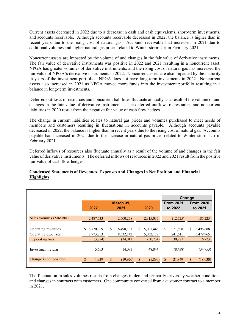Current assets decreased in 2022 due to a decrease in cash and cash equivalents, short-term investments, and accounts receivable. Although accounts receivable decreased in 2022, the balance is higher than in recent years due to the rising cost of natural gas. Accounts receivable had increased in 2021 due to additional volumes and higher natural gas prices related to Winter storm Uri in February 2021.

Noncurrent assets are impacted by the volume of and changes in the fair value of derivative instruments. The fair value of derivative instruments was positive in 2022 and 2021 resulting in a noncurrent asset. NPGA has greater volumes of derivative instruments, and the rising cost of natural gas has increased the fair value of NPGA's derivative instruments in 2022. Noncurrent assets are also impacted by the maturity in years of the investment portfolio. NPGA does not have long-term investments in 2022. Noncurrent assets also increased in 2021 as NPGA moved more funds into the investment portfolio resulting in a balance in long-term investments.

Deferred outflows of resources and noncurrent liabilities fluctuate annually as a result of the volume of and changes in the fair value of derivative instruments. The deferred outflows of resources and noncurrent liabilities in 2020 result from the negative fair value of cash flow hedges.

The change in current liabilities relates to natural gas prices and volumes purchased to meet needs of members and customers resulting in fluctuations in accounts payable. Although accounts payable decreased in 2022, the balance is higher than in recent years due to the rising cost of natural gas. Accounts payable had increased in 2021 due to the increase in natural gas prices related to Winter storm Uri in February 2021.

Deferred inflows of resources also fluctuate annually as a result of the volume of and changes in the fair value of derivative instruments. The deferred inflows of resources in 2022 and 2021 result from the positive fair value of cash flow hedges.

|                        |           |                          |                                   |                  | Change                    |
|------------------------|-----------|--------------------------|-----------------------------------|------------------|---------------------------|
|                        |           | March 31,                |                                   | <b>From 2021</b> | <b>From 2020</b>          |
|                        | 2022      | 2021                     | 2020                              | to 2022          | to 2021                   |
|                        |           |                          |                                   |                  |                           |
| Sales volumes (MMBtu)  | 2,487,733 | 2,500,258                | 2,315,035                         | (12, 525)        | 185,223                   |
|                        |           |                          |                                   |                  |                           |
| Operating revenues     | 8,770,029 | \$<br>8,498,131          | 5,001,443<br>\$.                  | 271,898<br>S.    | \$<br>3,496,688           |
| Operating expenses     | 8,773,753 | 8,532,142                | 5,052,177                         | 241,611          | 3,479,965                 |
| Operating loss         | (3,724)   | (34,011)                 | (50, 734)                         | 30,287           | 16,723                    |
|                        |           |                          |                                   |                  |                           |
| Investment return      | 5,653     | 14,091                   | 48,844                            | (8, 438)         | (34, 753)                 |
|                        |           |                          |                                   |                  |                           |
| Change in net position | 1,929     | $\mathbb{S}$<br>(19,920) | (1,890)<br>$\mathbf{\mathcal{S}}$ | 21,849<br>-S     | (18,030)<br><sup>\$</sup> |
|                        |           |                          |                                   |                  |                           |

### **Condensed Statements of Revenues, Expenses and Changes in Net Position and Financial Highlights**

The fluctuation in sales volumes results from changes in demand primarily driven by weather conditions and changes in contracts with customers. One community converted from a customer contract to a member in 2021.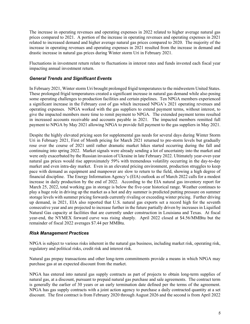The increase in operating revenues and operating expenses in 2022 related to higher average natural gas prices compared to 2021. A portion of the increase in operating revenues and operating expenses in 2021 related to increased demand and higher average natural gas prices compared to 2020. The majority of the increase in operating revenues and operating expenses in 2021 resulted from the increase in demand and drastic increase in natural gas prices during Winter storm Uri in February 2021.

Fluctuations in investment return relate to fluctuations in interest rates and funds invested each fiscal year impacting annual investment return.

# *General Trends and Significant Events*

In February 2021, Winter storm Uri brought prolonged frigid temperatures to the midwestern United States. These prolonged frigid temperatures created a significant increase in natural gas demand while also posing some operating challenges to production facilities and certain pipelines. Ten NPGA members experienced a significant increase in the February cost of gas which increased NPGA's 2021 operating revenues and operating expenses. NPGA worked with the gas suppliers to extend payment terms, without interest, to give the impacted members more time to remit payment to NPGA. The extended payment terms resulted in increased accounts receivable and accounts payable in 2021. The impacted members remitted full payment to NPGA by May 2021 allowing NPGA to provide full payment to the gas suppliers in May 2021.

Despite the highly elevated pricing seen for supplemental gas needs for several days during Winter Storm Uri in February 2021, First of Month pricing for March 2021 returned to pre-storm levels but gradually rose over the course of 2021 until rather dramatic market hikes started occurring during the fall and continuing into spring 2022. Market signals were already sending a lot of uncertainty into the market and were only exacerbated by the Russian invasion of Ukraine in late February 2022. Ultimately year-over-year natural gas prices would rise approximately 59% with tremendous volatility occurring in the day-to-day market and even intra-day market. Even in an elevated pricing environment, production struggles to keep pace with demand as equipment and manpower are slow to return to the field, showing a high degree of financial discipline. The Energy Information Agency's (EIA) outlook as of March 2022 calls for a modest increase in daily production by the end of 2022. According to the EIA natural gas inventory report for March 25, 2022, total working gas in storage is below the five-year historical range. Weather continues to play a huge role in driving up the market as a hot and dry summer is predicted putting pressure on summer storage levels with summer pricing forwards currently rivaling or exceeding winter pricing. Further driving up demand, in 2021, EIA also reported that U.S. natural gas exports set a record high for the seventh consecutive year and are projected to increase further in the future partially driven by increases in Liquified Natural Gas capacity at facilities that are currently under construction in Louisiana and Texas. At fiscal year-end, the NYMEX forward curve was rising sharply. April 2022 closed at \$4.56/MMBtu but the remainder of fiscal 2022 averages \$7.44 per MMBtu.

### *Risk Management Practices*

NPGA is subject to various risks inherent in the natural gas business, including market risk, operating risk, regulatory and political risks, credit risk and interest risk.

Natural gas prepay transactions and other long-term commitments provide a means in which NPGA may purchase gas at an expected discount from the market.

NPGA has entered into natural gas supply contracts as part of projects to obtain long-term supplies of natural gas, at a discount, pursuant to prepaid natural gas purchase and sale agreements. The contract term is generally the earlier of 30 years or an early termination date defined per the terms of the agreement. NPGA has gas supply contracts with a joint action agency to purchase a daily contracted quantity at a set discount. The first contract is from February 2020 through August 2026 and the second is from April 2022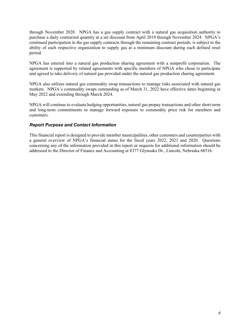through November 2028. NPGA has a gas supply contract with a natural gas acquisition authority to purchase a daily contracted quantity at a set discount from April 2019 through November 2024. NPGA's continued participation in the gas supply contracts through the remaining contract periods, is subject to the ability of each respective organization to supply gas at a minimum discount during each defined reset period.

NPGA has entered into a natural gas production sharing agreement with a nonprofit corporation. The agreement is supported by related agreements with specific members of NPGA who chose to participate and agreed to take delivery of natural gas provided under the natural gas production sharing agreement.

NPGA also utilizes natural gas commodity swap transactions to manage risks associated with natural gas markets. NPGA's commodity swaps outstanding as of March 31, 2022 have effective dates beginning in May 2022 and extending through March 2024.

NPGA will continue to evaluate hedging opportunities, natural gas prepay transactions and other short-term and long-term commitments to manage forward exposure to commodity price risk for members and customers.

### *Report Purpose and Contact Information*

This financial report is designed to provide member municipalities, other customers and counterparties with a general overview of NPGA's financial status for the fiscal years 2022, 2021 and 2020. Questions concerning any of the information provided in this report or requests for additional information should be addressed to the Director of Finance and Accounting at 8377 Glynoaks Dr., Lincoln, Nebraska 68516.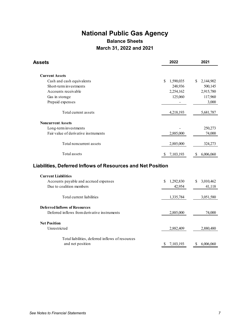# **National Public Gas Agency Balance Sheets March 31, 2022 and 2021**

| Assets                               | 2022           | 2021           |
|--------------------------------------|----------------|----------------|
| <b>Current Assets</b>                |                |                |
| Cash and cash equivalents            | S<br>1,590,035 | S<br>2,144,902 |
| Short-term investments               | 248,936        | 500,145        |
| Accounts receivable                  | 2,254,162      | 2,915,780      |
| Gas in storage                       | 125,060        | 117,960        |
| Prepaid expenses                     |                | 3,000          |
| Total current assets                 | 4,218,193      | 5,681,787      |
| <b>Noncurrent Assets</b>             |                |                |
| Long-term investments                |                | 250,273        |
| Fair value of derivative instruments | 2,885,000      | 74,000         |
| Total noncurrent assets              | 2,885,000      | 324,273        |
| Total assets                         | 7,103,193<br>S | 6,006,060<br>S |

# **Liabilities, Deferred Inflows of Resources and Net Position**

| <b>Current Liabilities</b>                       |                 |                |
|--------------------------------------------------|-----------------|----------------|
| Accounts payable and accrued expenses            | \$<br>1,292,830 | S<br>3,010,462 |
| Due to coalition members                         | 42,954          | 41,118         |
| Total current liabilities                        | 1,335,784       | 3,051,580      |
| <b>Deferred Inflows of Resources</b>             |                 |                |
| Deferred inflows from derivative instruments     | 2,885,000       | 74,000         |
| <b>Net Position</b>                              |                 |                |
| Unrestricted                                     | 2,882,409       | 2,880,480      |
| Total liabilities, deferred inflows of resources |                 |                |
| and net position                                 | 7, 103, 193     | 6,006,060      |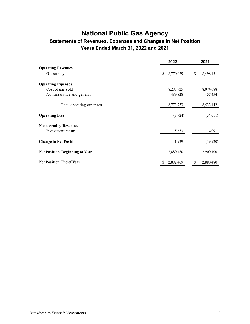# **National Public Gas Agency**

# **Statements of Revenues, Expenses and Changes in Net Position Years Ended March 31, 2022 and 2021**

|                                        | 2022            | 2021            |
|----------------------------------------|-----------------|-----------------|
| <b>Operating Revenues</b>              |                 |                 |
| Gas supply                             | 8,770,029<br>\$ | 8,498,131<br>\$ |
| <b>Operating Expenses</b>              |                 |                 |
| Cost of gas sold                       | 8,283,925       | 8,074,688       |
| Administrative and general             | 489,828         | 457,454         |
| Total operating expenses               | 8,773,753       | 8,532,142       |
| <b>Operating Loss</b>                  | (3,724)         | (34,011)        |
| <b>Nonoperating Revenues</b>           |                 |                 |
| Investment return                      | 5,653           | 14,091          |
| <b>Change in Net Position</b>          | 1,929           | (19,920)        |
| <b>Net Position, Beginning of Year</b> | 2,880,480       | 2,900,400       |
| <b>Net Position, End of Year</b>       | 2,882,409       | 2,880,480<br>S  |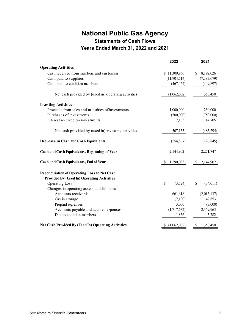# **National Public Gas Agency**

**Statements of Cash Flows** 

**Years Ended March 31, 2022 and 2021** 

|                                                            | 2022                          | 2021             |
|------------------------------------------------------------|-------------------------------|------------------|
| <b>Operating Activities</b>                                |                               |                  |
| Cash received from members and customers                   | \$11,309,966                  | \$.<br>8,192,026 |
| Cash paid to suppliers                                     | (11,904,514)                  | (7,383,679)      |
| Cash paid to coalition members                             | (467, 454)                    | (449, 897)       |
| Net cash provided by (used in) operating activities        | (1,062,002)                   | 358,450          |
| <b>Investing Activities</b>                                |                               |                  |
| Proceeds from sales and maturities of investments          | 1,000,000                     | 250,000          |
| Purchases of investments                                   | (500,000)                     | (750,000)        |
| Interest received on investments                           | 7,135                         | 14,705           |
| Net cash provided by (used in) investing activities        | 507,135                       | (485, 295)       |
| Decrease in Cash and Cash Equivalents                      | (554, 867)                    | (126, 845)       |
| Cash and Cash Equivalents, Beginning of Year               | 2,144,902                     | 2,271,747        |
| Cash and Cash Equivalents, End of Year                     | 1,590,035<br>S                | 2,144,902        |
| <b>Reconciliation of Operating Loss to Net Cash</b>        |                               |                  |
| Provided By (Used In) Operating Activities                 |                               |                  |
| Operating Loss                                             | \$<br>(3,724)                 | \$<br>(34,011)   |
| Changes in operating assets and liabilities                |                               |                  |
| Accounts receivable                                        | 661,618                       | (2,013,137)      |
| Gas in storage                                             | (7,100)                       | 42,853           |
| Prepaid expenses                                           | 3,000                         | (3,000)          |
| Accounts payable and accrued expenses                      | (1,717,632)                   | 2,359,963        |
| Due to coalition members                                   | 1,836                         | 5,782            |
| <b>Net Cash Provided By (Used In) Operating Activities</b> | $\mathbb{S}^-$<br>(1,062,002) | \$<br>358,450    |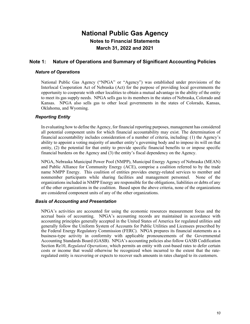# **Note 1: Nature of Operations and Summary of Significant Accounting Policies**

### *Nature of Operations*

National Public Gas Agency ("NPGA" or "Agency") was established under provisions of the Interlocal Cooperation Act of Nebraska (Act) for the purpose of providing local governments the opportunity to cooperate with other localities to obtain a mutual advantage in the ability of the entity to meet its gas supply needs. NPGA sells gas to its members in the states of Nebraska, Colorado and Kansas. NPGA also sells gas to other local governments in the states of Colorado, Kansas, Oklahoma, and Wyoming.

### *Reporting Entity*

In evaluating how to define the Agency, for financial reporting purposes, management has considered all potential component units for which financial accountability may exist. The determination of financial accountability includes consideration of a number of criteria, including: (1) the Agency's ability to appoint a voting majority of another entity's governing body and to impose its will on that entity, (2) the potential for that entity to provide specific financial benefits to or impose specific financial burdens on the Agency and (3) the entity's fiscal dependency on the Agency.

NPGA, Nebraska Municipal Power Pool (NMPP), Municipal Energy Agency of Nebraska (MEAN) and Public Alliance for Community Energy (ACE), comprise a coalition referred to by the trade name NMPP Energy. This coalition of entities provides energy-related services to member and nonmember participants while sharing facilities and management personnel. None of the organizations included in NMPP Energy are responsible for the obligations, liabilities or debts of any of the other organizations in the coalition. Based upon the above criteria, none of the organizations are considered component units of any of the other organizations.

### *Basis of Accounting and Presentation*

NPGA's activities are accounted for using the economic resources measurement focus and the accrual basis of accounting. NPGA's accounting records are maintained in accordance with accounting principles generally accepted in the United States of America for regulated utilities and generally follow the Uniform System of Accounts for Public Utilities and Licensees prescribed by the Federal Energy Regulatory Commission (FERC). NPGA prepares its financial statements as a business-type activity in conformity with applicable pronouncements of the Governmental Accounting Standards Board (GASB). NPGA's accounting policies also follow GASB Codification Section Re10, *Regulated Operations*, which permits an entity with cost-based rates to defer certain costs or income that would otherwise be recognized when incurred to the extent that the rateregulated entity is recovering or expects to recover such amounts in rates charged to its customers.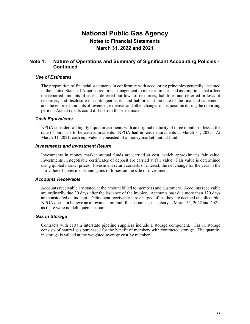# **Note 1: Nature of Operations and Summary of Significant Accounting Policies - Continued**

#### *Use of Estimates*

The preparation of financial statements in conformity with accounting principles generally accepted in the United States of America requires management to make estimates and assumptions that affect the reported amounts of assets, deferred outflows of resources, liabilities and deferred inflows of resources, and disclosure of contingent assets and liabilities at the date of the financial statements and the reported amounts of revenues, expenses and other changes in net position during the reporting period. Actual results could differ from those estimates.

### *Cash Equivalents*

NPGA considers all highly liquid investments with an original maturity of three months or less at the date of purchase to be cash equivalents. NPGA had no cash equivalents at March 31, 2022. At March 31, 2021, cash equivalents consisted of a money market mutual fund.

#### *Investments and Investment Return*

Investments in money market mutual funds are carried at cost, which approximates fair value. Investments in negotiable certificates of deposit are carried at fair value. Fair value is determined using quoted market prices. Investment return consists of interest, the net change for the year in the fair value of investments, and gains or losses on the sale of investments.

#### *Accounts Receivable*

Accounts receivable are stated at the amount billed to members and customers. Accounts receivable are ordinarily due 30 days after the issuance of the invoice. Accounts past due more than 120 days are considered delinquent. Delinquent receivables are charged off as they are deemed uncollectible. NPGA does not believe an allowance for doubtful accounts is necessary at March 31, 2022 and 2021, as there were no delinquent accounts.

#### *Gas in Storage*

Contracts with certain interstate pipeline suppliers include a storage component. Gas in storage consists of natural gas purchased for the benefit of members with contracted storage. The quantity in storage is valued at the weighted-average cost by member.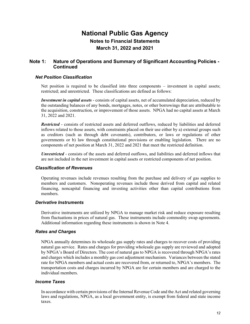### **Note 1: Nature of Operations and Summary of Significant Accounting Policies - Continued**

#### *Net Position Classification*

Net position is required to be classified into three components – investment in capital assets; restricted; and unrestricted. These classifications are defined as follows:

*Investment in capital assets* - consists of capital assets, net of accumulated depreciation, reduced by the outstanding balances of any bonds, mortgages, notes, or other borrowings that are attributable to the acquisition, construction, or improvement of those assets. NPGA had no capital assets at March 31, 2022 and 2021.

*Restricted* - consists of restricted assets and deferred outflows, reduced by liabilities and deferred inflows related to those assets, with constraints placed on their use either by a) external groups such as creditors (such as through debt covenants), contributors, or laws or regulations of other governments or b) law through constitutional provisions or enabling legislation. There are no components of net position at March 31, 2022 and 2021 that meet the restricted definition.

*Unrestricted* - consists of the assets and deferred outflows, and liabilities and deferred inflows that are not included in the net investment in capital assets or restricted components of net position.

### *Classification of Revenues*

Operating revenues include revenues resulting from the purchase and delivery of gas supplies to members and customers. Nonoperating revenues include those derived from capital and related financing, noncapital financing and investing activities other than capital contributions from members.

#### *Derivative Instruments*

Derivative instruments are utilized by NPGA to manage market risk and reduce exposure resulting from fluctuations in prices of natural gas. These instruments include commodity swap agreements. Additional information regarding these instruments is shown in Note 4.

### *Rates and Charges*

NPGA annually determines its wholesale gas supply rates and charges to recover costs of providing natural gas service. Rates and charges for providing wholesale gas supply are reviewed and adopted by NPGA's Board of Directors. The cost of natural gas to NPGA is recovered through NPGA's rates and charges which includes a monthly gas cost adjustment mechanism. Variances between the stated rate for NPGA members and actual costs are recovered from, or returned to, NPGA's members. The transportation costs and charges incurred by NPGA are for certain members and are charged to the individual members.

### *Income Taxes*

In accordance with certain provisions of the Internal Revenue Code and the Act and related governing laws and regulations, NPGA, as a local government entity, is exempt from federal and state income taxes.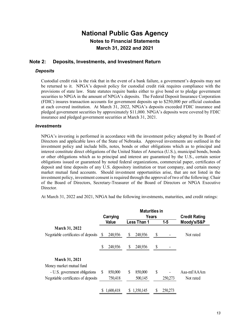# **Note 2: Deposits, Investments, and Investment Return**

#### *Deposits*

Custodial credit risk is the risk that in the event of a bank failure, a government's deposits may not be returned to it. NPGA's deposit policy for custodial credit risk requires compliance with the provisions of state law. State statutes require banks either to give bond or to pledge government securities to NPGA in the amount of NPGA's deposits. The Federal Deposit Insurance Corporation (FDIC) insures transaction accounts for government deposits up to \$250,000 per official custodian at each covered institution. At March 31, 2022, NPGA's deposits exceeded FDIC insurance and pledged government securities by approximately \$11,000. NPGA's deposits were covered by FDIC insurance and pledged government securities at March 31, 2021.

#### *Investments*

NPGA's investing is performed in accordance with the investment policy adopted by its Board of Directors and applicable laws of the State of Nebraska. Approved investments are outlined in the investment policy and include bills, notes, bonds or other obligations which as to principal and interest constitute direct obligations of the United States of America (U.S.), municipal bonds, bonds or other obligations which as to principal and interest are guaranteed by the U.S., certain senior obligations issued or guaranteed by noted federal organizations, commercial paper, certificates of deposit and time deposits of any U.S. depository institution or trust company, and certain money market mutual fund accounts. Should investment opportunities arise, that are not listed in the investment policy, investment consent is required through the approval of two of the following: Chair of the Board of Directors, Secretary-Treasurer of the Board of Directors or NPGA Executive Director.

At March 31, 2022 and 2021, NPGA had the following investments, maturities, and credit ratings:

|                                     | Carrying     | <b>Maturities in</b><br>Years  | <b>Credit Rating</b> |
|-------------------------------------|--------------|--------------------------------|----------------------|
|                                     | Value        | <b>Less Than 1</b><br>$1 - 5$  | Moody's/S&P          |
| <b>March 31, 2022</b>               |              |                                |                      |
| Negotiable certificates of deposits | 248,936<br>S | \$<br>248,936<br>\$            | Not rated            |
|                                     | S<br>248,936 | $\mathcal{S}$<br>\$<br>248,936 |                      |
| <b>March 31, 2021</b>               |              |                                |                      |
| Money market mutual fund            |              |                                |                      |
| - U.S. government obligations       | S<br>850,000 | \$<br>\$<br>850,000            | Aaa-mf/AAAm          |
| Negotiable certificates of deposits | 750,418      | 500,145<br>250,273             | Not rated            |
|                                     | 1,600,418    | 250,273<br>1,350,145           |                      |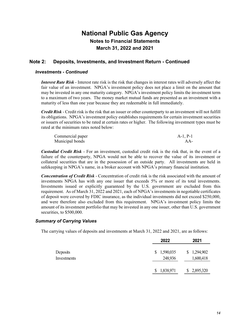# **Note 2: Deposits, Investments, and Investment Return - Continued**

#### *Investments - Continued*

*Interest Rate Risk* - Interest rate risk is the risk that changes in interest rates will adversely affect the fair value of an investment. NPGA's investment policy does not place a limit on the amount that may be invested in any one maturity category. NPGA's investment policy limits the investment term to a maximum of two years. The money market mutual funds are presented as an investment with a maturity of less than one year because they are redeemable in full immediately.

*Credit Risk* - Credit risk is the risk that an issuer or other counterparty to an investment will not fulfill its obligations. NPGA's investment policy establishes requirements for certain investment securities or issuers of securities to be rated at certain rates or higher. The following investment types must be rated at the minimum rates noted below:

| Commercial paper | $A-1, P-1$ |
|------------------|------------|
| Municipal bonds  | $AA-$      |

*Custodial Credit Risk* - For an investment, custodial credit risk is the risk that, in the event of a failure of the counterparty, NPGA would not be able to recover the value of its investment or collateral securities that are in the possession of an outside party. All investments are held in safekeeping in NPGA's name, in a broker account with NPGA's primary financial institution.

*Concentration of Credit Risk* - Concentration of credit risk is the risk associated with the amount of investments NPGA has with any one issuer that exceeds 5% or more of its total investments. Investments issued or explicitly guaranteed by the U.S. government are excluded from this requirement. As of March 31, 2022 and 2021, each of NPGA's investments in negotiable certificates of deposit were covered by FDIC insurance, as the individual investments did not exceed \$250,000, and were therefore also excluded from this requirement. NPGA's investment policy limits the amount of its investment portfolio that may be invested in any one issuer, other than U.S. government securities, to \$500,000.

### *Summary of Carrying Values*

The carrying values of deposits and investments at March 31, 2022 and 2021, are as follows:

|                         | 2022                       | 2021                             |
|-------------------------|----------------------------|----------------------------------|
| Deposits<br>Investments | \$<br>1,590,035<br>248,936 | $\frac{1,294,902}{$<br>1,600,418 |
|                         | 1,838,971                  | 2,895,320                        |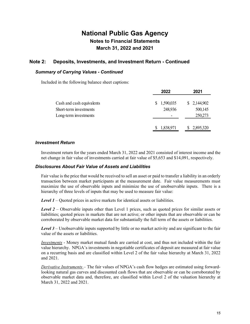# **Note 2: Deposits, Investments, and Investment Return - Continued**

# *Summary of Carrying Values - Continued*

Included in the following balance sheet captions:

|                           | 2022           | 2021        |
|---------------------------|----------------|-------------|
| Cash and cash equivalents | 1,590,035<br>S | \$2,144,902 |
| Short-term investments    | 248,936        | 500,145     |
| Long-term investments     |                | 250,273     |
|                           | 1,838,971      | 2,895,320   |

### *Investment Return*

Investment return for the years ended March 31, 2022 and 2021 consisted of interest income and the net change in fair value of investments carried at fair value of \$5,653 and \$14,091, respectively.

### *Disclosures About Fair Value of Assets and Liabilities*

Fair value is the price that would be received to sell an asset or paid to transfer a liability in an orderly transaction between market participants at the measurement date. Fair value measurements must maximize the use of observable inputs and minimize the use of unobservable inputs. There is a hierarchy of three levels of inputs that may be used to measure fair value:

*Level 1* – Quoted prices in active markets for identical assets or liabilities.

*Level 2* – Observable inputs other than Level 1 prices, such as quoted prices for similar assets or liabilities; quoted prices in markets that are not active; or other inputs that are observable or can be corroborated by observable market data for substantially the full term of the assets or liabilities.

*Level 3* – Unobservable inputs supported by little or no market activity and are significant to the fair value of the assets or liabilities.

*Investments* - Money market mutual funds are carried at cost, and thus not included within the fair value hierarchy. NPGA's investments in negotiable certificates of deposit are measured at fair value on a recurring basis and are classified within Level 2 of the fair value hierarchy at March 31, 2022 and 2021.

*Derivative Instruments* – The fair values of NPGA's cash flow hedges are estimated using forwardlooking natural gas curves and discounted cash flows that are observable or can be corroborated by observable market data and, therefore, are classified within Level 2 of the valuation hierarchy at March 31, 2022 and 2021.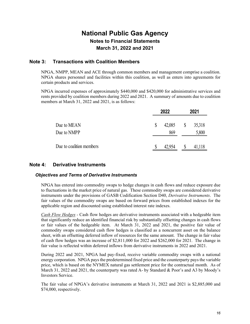# **Note 3: Transactions with Coalition Members**

NPGA, NMPP, MEAN and ACE through common members and management comprise a coalition. NPGA shares personnel and facilities within this coalition, as well as enters into agreements for certain products and services.

NPGA incurred expenses of approximately \$440,000 and \$420,000 for administrative services and rents provided by coalition members during 2022 and 2021. A summary of amounts due to coalition members at March 31, 2022 and 2021, is as follows:

|                            | 2022 |               | 2021 |                 |  |
|----------------------------|------|---------------|------|-----------------|--|
| Due to MEAN<br>Due to NMPP | \$   | 42,085<br>869 | \$   | 35,318<br>5,800 |  |
| Due to coalition members   |      | 42,954        |      | 41,118          |  |

# **Note 4: Derivative Instruments**

### *Objectives and Terms of Derivative Instruments*

NPGA has entered into commodity swaps to hedge changes in cash flows and reduce exposure due to fluctuations in the market price of natural gas. These commodity swaps are considered derivative instruments under the provisions of GASB Codification Section D40, *Derivative Instruments*. The fair values of the commodity swaps are based on forward prices from established indexes for the applicable region and discounted using established interest rate indexes.

*Cash Flow Hedges -* Cash flow hedges are derivative instruments associated with a hedgeable item that significantly reduce an identified financial risk by substantially offsetting changes in cash flows or fair values of the hedgeable item. At March 31, 2022 and 2021, the positive fair value of commodity swaps considered cash flow hedges is classified as a noncurrent asset on the balance sheet, with an offsetting deferred inflow of resources for the same amount. The change in fair value of cash flow hedges was an increase of \$2,811,000 for 2022 and \$262,000 for 2021. The change in fair value is reflected within deferred inflows from derivative instruments in 2022 and 2021.

During 2022 and 2021, NPGA had pay-fixed, receive variable commodity swaps with a national energy corporation. NPGA pays the predetermined fixed price and the counterparty pays the variable price, which is based on the NYMEX natural gas settlement price for the contractual month. As of March 31, 2022 and 2021, the counterparty was rated A- by Standard & Poor's and A3 by Moody's Investors Service.

The fair value of NPGA's derivative instruments at March 31, 2022 and 2021 is \$2,885,000 and \$74,000, respectively.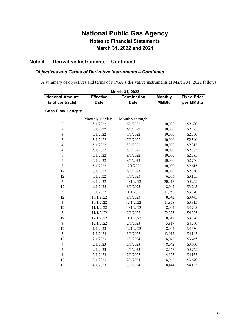# **Note 4: Derivative Instruments – Continued**

# *Objectives and Terms of Derivative Instruments – Continued*

A summary of objectives and terms of NPGA's derivative instruments at March 31, 2022 follows:

| March 31, 2022           |                  |                    |                |                    |  |
|--------------------------|------------------|--------------------|----------------|--------------------|--|
| <b>Notional Amount</b>   | <b>Effective</b> | <b>Termination</b> | <b>Monthly</b> | <b>Fixed Price</b> |  |
| (# of contracts)         | <b>Date</b>      | <b>Date</b>        | <b>MMBtu</b>   | per MMBtu          |  |
| <b>Cash Flow Hedges:</b> |                  |                    |                |                    |  |
|                          | Monthly starting | Monthly through    |                |                    |  |
| $\overline{c}$           | 5/1/2022         | 6/1/2022           | 10,000         | \$2.600            |  |
| $\overline{c}$           | 5/1/2022         | 6/1/2022           | 10,000         | \$2.575            |  |
| $\overline{\mathbf{3}}$  | 5/1/2022         | 7/1/2022           | 10,000         | \$2.550            |  |
| $\overline{\mathbf{3}}$  | 5/1/2022         | 7/1/2022           | 10,000         | \$2.540            |  |
| $\overline{\mathbf{4}}$  | 5/1/2022         | 8/1/2022           | 10,000         | \$2.815            |  |
| $\overline{\mathbf{4}}$  | 5/1/2022         | 8/1/2022           | 10,000         | \$2.785            |  |
| 5                        | 5/1/2022         | 9/1/2022           | 10,000         | \$2.785            |  |
| 5                        | 5/1/2022         | 9/1/2022           | 10,000         | \$2.760            |  |
| $\,$ $\,$                | 5/1/2022         | 12/1/2022          | 10,000         | \$2.615            |  |
| 12                       | 7/1/2022         | 6/1/2023           | 10,000         | \$2.850            |  |
| 12                       | 8/1/2022         | 7/1/2023           | 6,083          | \$3.155            |  |
| 3                        | 8/1/2022         | 10/1/2022          | 30,417         | \$3.255            |  |
| 12                       | 9/1/2022         | 8/1/2023           | 8,042          | \$3.205            |  |
| $\overline{3}$           | 9/1/2022         | 11/1/2022          | 11,958         | \$3.370            |  |
| 12                       | 10/1/2022        | 9/1/2023           | 8,042          | \$3.445            |  |
| 3                        | 10/1/2022        | 12/1/2022          | 11,958         | \$3.815            |  |
| 12                       | 11/1/2022        | 10/1/2023          | 8,042          | \$3.705            |  |
| $\overline{3}$           | 11/1/2022        | 1/1/2023           | 22,375         | \$4.225            |  |
| 12                       | 12/1/2022        | 11/1/2023          | 8,042          | \$3.570            |  |
| 3                        | 12/1/2022        | 2/1/2023           | 3,917          | \$4.260            |  |
| 12                       | 1/1/2023         | 12/1/2023          | 8,042          | \$3.530            |  |
| 3                        | 1/1/2023         | 3/1/2023           | 13,917         | \$4.105            |  |
| 12                       | 2/1/2023         | 1/1/2024           | 8,042          | \$3.465            |  |
| $\overline{4}$           | 2/1/2023         | 5/1/2023           | 8,042          | \$3.600            |  |
| 3                        | 2/1/2023         | 4/1/2023           | 2,167          | \$3.745            |  |
| 1                        | 2/1/2023         | 2/1/2023           | 4,125          | \$4.155            |  |
| 12                       | 3/1/2023         | 2/1/2024           | 8,042          | \$3.670            |  |
| 12                       | 4/1/2023         | 3/1/2024           | 8,444          | \$4.135            |  |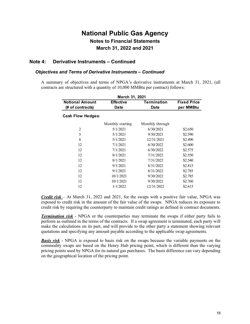# **Note 4: Derivative Instruments – Continued**

### *Objectives and Terms of Derivative Instruments – Continued*

A summary of objectives and terms of NPGA's derivative instruments at March 31, 2021, (all contracts are structured with a quantity of 10,000 MMBtu per contract) follows:

| March 31, 2021           |                  |                    |                    |  |
|--------------------------|------------------|--------------------|--------------------|--|
| <b>Notional Amount</b>   | <b>Effective</b> | <b>Termination</b> | <b>Fixed Price</b> |  |
| (# of contracts)         | <b>Date</b>      | <b>Date</b>        | per MMBtu          |  |
| <b>Cash Flow Hedges:</b> |                  |                    |                    |  |
|                          | Monthly starting | Monthly through    |                    |  |
| $\overline{2}$           | 5/1/2021         | 6/30/2021          | \$2.650            |  |
| 5                        | 5/1/2021         | 9/30/2021          | \$2.590            |  |
| 8                        | 5/1/2021         | 12/31/2021         | \$2.490            |  |
| 12                       | 7/1/2021         | 6/30/2022          | \$2.600            |  |
| 12                       | 7/1/2021         | 6/30/2022          | \$2.575            |  |
| 12                       | 8/1/2021         | 7/31/2022          | \$2.550            |  |
| 12                       | 8/1/2021         | 7/31/2022          | \$2.540            |  |
| 12                       | 9/1/2021         | 8/31/2022          | \$2.815            |  |
| 12                       | 9/1/2021         | 8/31/2022          | \$2.785            |  |
| 12                       | 10/1/2021        | 9/30/2022          | \$2.785            |  |
| 12                       | 10/1/2021        | 9/30/2022          | \$2.760            |  |
| 12                       | 1/1/2022         | 12/31/2022         | \$2.615            |  |
|                          |                  |                    |                    |  |

*Credit risk* – At March 31, 2022 and 2021, for the swaps with a positive fair value, NPGA was exposed to credit risk in the amount of the fair value of the swaps. NPGA reduces its exposure to credit risk by requiring the counterparty to maintain credit ratings as defined in contract documents.

*Termination risk* - NPGA or the counterparties may terminate the swaps if either party fails to perform as outlined in the terms of the contracts. If a swap agreement is terminated, each party will make the calculations on its part, and will provide to the other party a statement showing relevant quotations and specifying any amount payable according to the applicable swap agreements.

**Basis risk** - NPGA is exposed to basis risk on the swaps because the variable payments on the commodity swaps are based on the Henry Hub pricing point, which is different than the varying pricing points used by NPGA for its natural gas purchases. The basis difference can vary depending on the geographical location of the pricing point.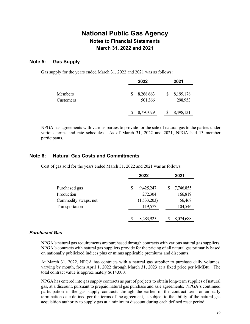# **Note 5: Gas Supply**

Gas supply for the years ended March 31, 2022 and 2021 was as follows:

|                      | 2022                 | 2021                 |
|----------------------|----------------------|----------------------|
| Members<br>Customers | 8,268,663<br>501,366 | 8,199,178<br>298,953 |
|                      | 8,770,029            | 8,498,131            |

NPGA has agreements with various parties to provide for the sale of natural gas to the parties under various terms and rate schedules. As of March 31, 2022 and 2021, NPGA had 13 member participants.

# **Note 6: Natural Gas Costs and Commitments**

Cost of gas sold for the years ended March 31, 2022 and 2021 was as follows:

|                      | 2022 |             | 2021      |  |
|----------------------|------|-------------|-----------|--|
|                      |      |             |           |  |
| Purchased gas        | \$   | 9,425,247   | 7,746,855 |  |
| Production           |      | 272,304     | 166,819   |  |
| Commodity swaps, net |      | (1,533,203) | 56,468    |  |
| Transportation       |      | 119,577     | 104,546   |  |
|                      |      |             |           |  |
|                      |      | 8,283,925   | 8,074,688 |  |

### *Purchased Gas*

NPGA's natural gas requirements are purchased through contracts with various natural gas suppliers. NPGA's contracts with natural gas suppliers provide for the pricing of all natural gas primarily based on nationally publicized indices plus or minus applicable premiums and discounts.

At March 31, 2022, NPGA has contracts with a natural gas supplier to purchase daily volumes, varying by month, from April 1, 2022 through March 31, 2023 at a fixed price per MMBtu. The total contract value is approximately \$614,000.

NPGA has entered into gas supply contracts as part of projects to obtain long-term supplies of natural gas, at a discount, pursuant to prepaid natural gas purchase and sale agreements. NPGA's continued participation in the gas supply contracts through the earlier of the contract term or an early termination date defined per the terms of the agreement, is subject to the ability of the natural gas acquisition authority to supply gas at a minimum discount during each defined reset period.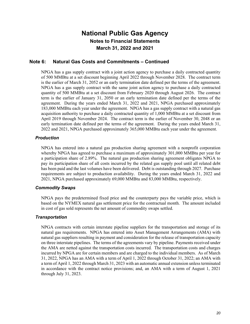### **Note 6: Natural Gas Costs and Commitments – Continued**

NPGA has a gas supply contract with a joint action agency to purchase a daily contracted quantity of 500 MMBtu at a set discount beginning April 2022 through November 2028. The contract term is the earlier of March 31, 2052 or an early termination date defined per the terms of the agreement. NPGA has a gas supply contract with the same joint action agency to purchase a daily contracted quantity of 500 MMBtu at a set discount from February 2020 through August 2026. The contract term is the earlier of January 31, 2050 or an early termination date defined per the terms of the agreement. During the years ended March 31, 2022 and 2021, NPGA purchased approximately 183,000 MMBtu each year under the agreement. NPGA has a gas supply contract with a natural gas acquisition authority to purchase a daily contracted quantity of 1,000 MMBtu at a set discount from April 2019 through November 2024. The contract term is the earlier of November 30, 2048 or an early termination date defined per the terms of the agreement. During the years ended March 31, 2022 and 2021, NPGA purchased approximately 365,000 MMBtu each year under the agreement.

### *Production*

NPGA has entered into a natural gas production sharing agreement with a nonprofit corporation whereby NPGA has agreed to purchase a maximum of approximately 301,000 MMBtu per year for a participation share of 2.89%. The natural gas production sharing agreement obligates NPGA to pay its participation share of all costs incurred by the related gas supply pool until all related debt has been paid and the last volumes have been delivered. Debt is outstanding through 2027. Purchase requirements are subject to production availability. During the years ended March 31, 2022 and 2021, NPGA purchased approximately 69,000 MMBtu and 83,000 MMBtu, respectively.

### *Commodity Swaps*

NPGA pays the predetermined fixed price and the counterparty pays the variable price, which is based on the NYMEX natural gas settlement price for the contractual month. The amount included in cost of gas sold represents the net amount of commodity swaps settled.

### *Transportation*

NPGA contracts with certain interstate pipeline suppliers for the transportation and storage of its natural gas requirements. NPGA has entered into Asset Management Arrangements (AMA) with natural gas suppliers resulting in payment and consideration for the release of transportation capacity on three interstate pipelines. The terms of the agreements vary by pipeline. Payments received under the AMA are netted against the transportation costs incurred. The transportation costs and charges incurred by NPGA are for certain members and are charged to the individual members. As of March 31, 2022, NPGA has an AMA with a term of April 1, 2022 through October 31, 2022; an AMA with a term of April 1, 2022 through March 31, 2023 with an automatic annual extension unless terminated in accordance with the contract notice provisions; and, an AMA with a term of August 1, 2021 through July 31, 2023.